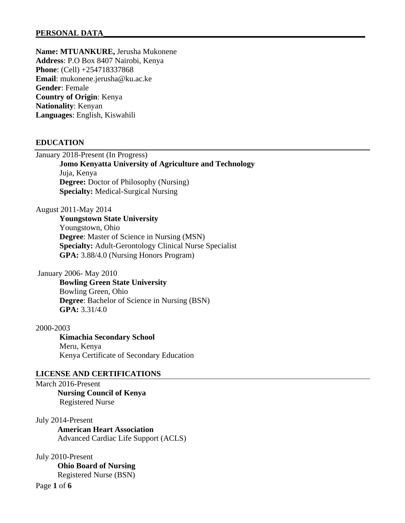# PERSONAL DATA

**Name: MTUANKURE,** Jerusha Mukonene **Address**: P.O Box 8407 Nairobi, Kenya **Phone**: (Cell) +254718337868 **Email**: mukonene.jerusha@ku.ac.ke **Gender**: Female **Country of Origin**: Kenya **Nationality**: Kenyan **Languages**: English, Kiswahili

# **EDUCATION**

January 2018-Present (In Progress)

 **Jomo Kenyatta University of Agriculture and Technology** Juja, Kenya **Degree:** Doctor of Philosophy (Nursing) **Specialty:** Medical-Surgical Nursing

August 2011-May 2014

 **Youngstown State University** Youngstown, Ohio **Degree**: Master of Science in Nursing (MSN)  **Specialty:** Adult-Gerontology Clinical Nurse Specialist **GPA:** 3.88/4.0 (Nursing Honors Program)

January 2006- May 2010

**Bowling Green State University** Bowling Green, Ohio **Degree**: Bachelor of Science in Nursing (BSN) **GPA:** 3.31/4.0

2000-2003

**Kimachia Secondary School** Meru, Kenya Kenya Certificate of Secondary Education

## **LICENSE AND CERTIFICATIONS**

March 2016-Present **Nursing Council of Kenya** Registered Nurse

July 2014-Present **American Heart Association** Advanced Cardiac Life Support (ACLS)

Page **1** of **6** July 2010-Present **Ohio Board of Nursing** Registered Nurse (BSN)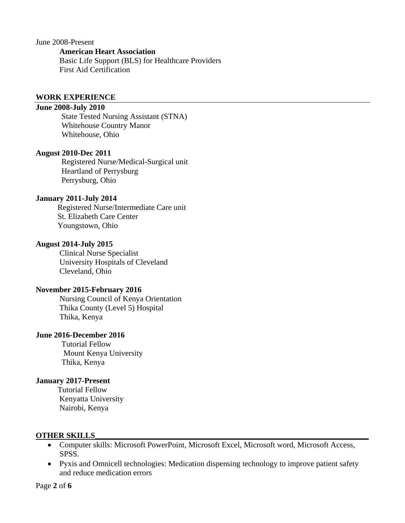June 2008-Present

#### **American Heart Association**

 Basic Life Support (BLS) for Healthcare Providers First Aid Certification

#### **WORK EXPERIENCE**

# **June 2008-July 2010**

 State Tested Nursing Assistant (STNA) Whitehouse Country Manor Whitehouse, Ohio

### **August 2010-Dec 2011**

 Registered Nurse/Medical-Surgical unit Heartland of Perrysburg Perrysburg, Ohio

#### **January 2011-July 2014**

 Registered Nurse/Intermediate Care unit St. Elizabeth Care Center Youngstown, Ohio

### **August 2014-July 2015**

 Clinical Nurse Specialist University Hospitals of Cleveland Cleveland, Ohio

#### **November 2015-February 2016**

Nursing Council of Kenya Orientation Thika County (Level 5) Hospital Thika, Kenya

# **June 2016-December 2016**

Tutorial Fellow Mount Kenya University Thika, Kenya

# **January 2017-Present**

Tutorial Fellow Kenyatta University Nairobi, Kenya

#### **OTHER SKILLS\_\_\_\_\_\_\_\_\_\_\_\_\_\_\_\_\_\_\_\_\_\_\_\_\_\_\_\_\_\_\_\_\_\_\_\_\_\_\_\_\_\_\_\_\_\_\_\_\_\_\_\_\_\_\_\_\_\_\_\_\_\_\_\_\_\_\_\_\_**

- Computer skills: Microsoft PowerPoint, Microsoft Excel, Microsoft word, Microsoft Access, SPSS.
- Pyxis and Omnicell technologies: Medication dispensing technology to improve patient safety and reduce medication errors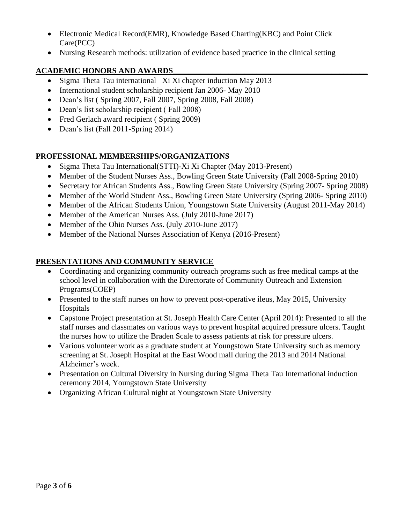- Electronic Medical Record(EMR), Knowledge Based Charting(KBC) and Point Click Care(PCC)
- Nursing Research methods: utilization of evidence based practice in the clinical setting

# **ACADEMIC HONORS AND AWARDS\_\_\_\_\_\_\_\_\_\_\_\_\_\_\_\_\_\_\_\_\_\_\_\_\_\_\_\_\_\_\_\_\_\_\_\_\_\_\_\_\_\_\_\_\_\_\_\_\_**

- Sigma Theta Tau international –Xi Xi chapter induction May 2013
- International student scholarship recipient Jan 2006- May 2010
- Dean's list ( Spring 2007, Fall 2007, Spring 2008, Fall 2008)
- Dean's list scholarship recipient (Fall 2008)
- Fred Gerlach award recipient (Spring 2009)
- Dean's list (Fall 2011-Spring 2014)

# **PROFESSIONAL MEMBERSHIPS/ORGANIZATIONS**

- Sigma Theta Tau International(STTI)-Xi Xi Chapter (May 2013-Present)
- Member of the Student Nurses Ass., Bowling Green State University (Fall 2008-Spring 2010)
- Secretary for African Students Ass., Bowling Green State University (Spring 2007- Spring 2008)
- Member of the World Student Ass., Bowling Green State University (Spring 2006- Spring 2010)
- Member of the African Students Union, Youngstown State University (August 2011-May 2014)
- Member of the American Nurses Ass. (July 2010-June 2017)
- Member of the Ohio Nurses Ass. (July 2010-June 2017)
- Member of the National Nurses Association of Kenya (2016-Present)

# **PRESENTATIONS AND COMMUNITY SERVICE**

- Coordinating and organizing community outreach programs such as free medical camps at the school level in collaboration with the Directorate of Community Outreach and Extension Programs(COEP)
- Presented to the staff nurses on how to prevent post-operative ileus, May 2015, University Hospitals
- Capstone Project presentation at St. Joseph Health Care Center (April 2014): Presented to all the staff nurses and classmates on various ways to prevent hospital acquired pressure ulcers. Taught the nurses how to utilize the Braden Scale to assess patients at risk for pressure ulcers.
- Various volunteer work as a graduate student at Youngstown State University such as memory screening at St. Joseph Hospital at the East Wood mall during the 2013 and 2014 National Alzheimer's week.
- Presentation on Cultural Diversity in Nursing during Sigma Theta Tau International induction ceremony 2014, Youngstown State University
- Organizing African Cultural night at Youngstown State University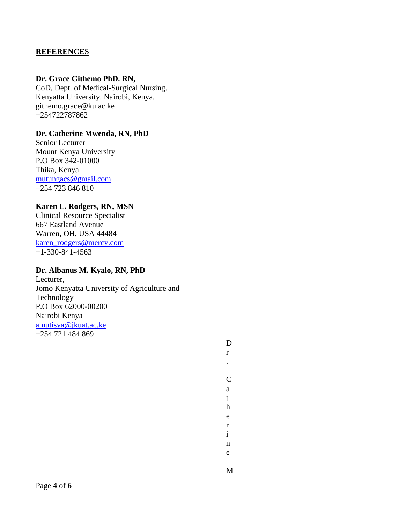# **REFERENCES**

## **Dr. Grace Githemo PhD. RN,**

CoD, Dept. of Medical -Surgical Nursing. Kenyatta University. Nairobi, Kenya. githemo.grace@ku.ac.ke +254722787862

# **Dr. Catherine Mwenda, RN, PhD**

Senior Lecturer Mount Kenya University P.O Box 342-01000 Thika, Kenya [mutungacs@gmail.com](mailto:mutungacs@gmail.com) +254 723 846 810

# **Karen L. Rodgers, RN, MSN**

Clinical Resource Specialist 667 Eastland Avenue Warren, OH, USA 44484 [karen\\_rodgers@mercy.com](mailto:karen_rodgers@mercy.com) +1 -330 -841 -4563

#### **Dr. Albanus M. Kyalo, RN, PhD**

Lecturer, Jomo Kenyatta University of Agriculture and Technology P.O Box 62000 -00200 Nairobi Kenya [amutisya@jkuat.ac.ke](mailto:amutisya@jkuat.ac.ke) +254 721 484 869

> D Dr. Catherine M  $\mathbf{r}$  $\ddot{\phantom{a}}$

 $\mathcal{C}$ a

 $t$  $\mathbf h$ e  $\mathbf{r}$  $\mathbf{i}$  $\mathbf{n}$  $\mathbf e$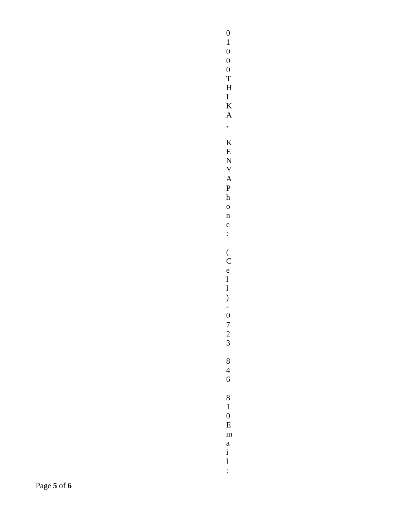$\begin{array}{c} 0 \\ 1 \\ 0 \end{array}$ 01000THIKA,KENYAPhone:(Cell)-0723846810Email:  $\boldsymbol{0}$  $\begin{matrix} 0 \\ T \end{matrix}$  $\overline{\mathrm{H}}$  $\frac{1}{K}$  $\mathbf{A}$  $\overline{\phantom{a}}$  $\rm K$  ${\bf E}$  $\overline{N}$  $\mathbf{Y}$  $\mathbf{A}$  $\, {\bf P}$  $\boldsymbol{\rm h}$  $\mathbf{o}$  $\mathbf{n}$  $\mathbf{e}$  $\div$  $\begin{array}{c} \binom{}{}\\ \mathbf{C} \end{array}$  $\mathbf{e}$  $\mathbf{1}$  $\mathbf{1}$  $\big)$  $-0$ <br>  $7$ <br>  $2$ <br>  $3$  $\begin{array}{c} 8 \\ 4 \\ 6 \end{array}$  $\overline{8}$  $\overline{1}$  $\begin{matrix} 0 \\ E \end{matrix}$  $\mathbf{m}$  $\mathbf{a}$  $\rm i$  $\mathbf{1}$  $\vdots$